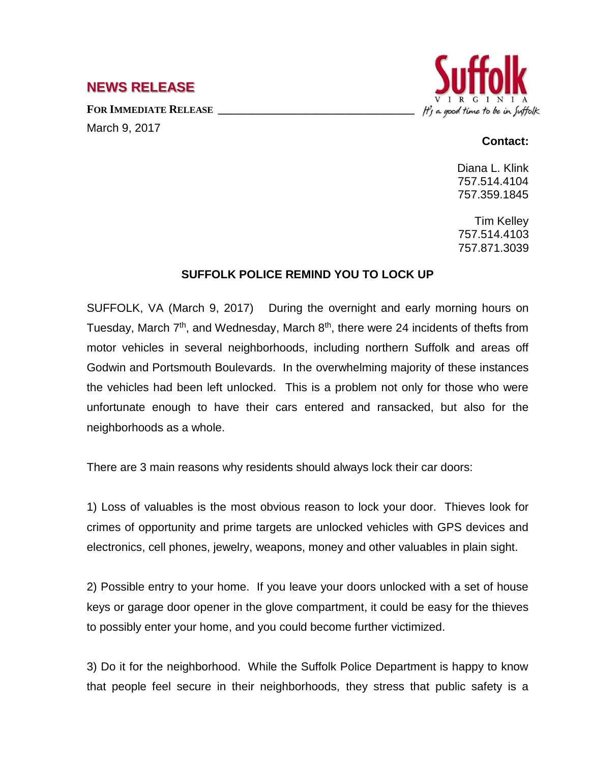## **NEWS RELEASE**

**FOR IMMEDIATE RELEASE \_\_\_\_\_\_\_\_\_\_\_\_\_\_\_\_\_\_\_\_\_\_\_\_\_\_\_\_\_\_\_\_\_\_** March 9, 2017



## **Contact:**

Diana L. Klink 757.514.4104 757.359.1845

Tim Kelley 757.514.4103 757.871.3039

## **SUFFOLK POLICE REMIND YOU TO LOCK UP**

SUFFOLK, VA (March 9, 2017) During the overnight and early morning hours on Tuesday, March  $7<sup>th</sup>$ , and Wednesday, March  $8<sup>th</sup>$ , there were 24 incidents of thefts from motor vehicles in several neighborhoods, including northern Suffolk and areas off Godwin and Portsmouth Boulevards. In the overwhelming majority of these instances the vehicles had been left unlocked. This is a problem not only for those who were unfortunate enough to have their cars entered and ransacked, but also for the neighborhoods as a whole.

There are 3 main reasons why residents should always lock their car doors:

1) Loss of valuables is the most obvious reason to lock your door. Thieves look for crimes of opportunity and prime targets are unlocked vehicles with GPS devices and electronics, cell phones, jewelry, weapons, money and other valuables in plain sight.

2) Possible entry to your home. If you leave your doors unlocked with a set of house keys or garage door opener in the glove compartment, it could be easy for the thieves to possibly enter your home, and you could become further victimized.

3) Do it for the neighborhood. While the Suffolk Police Department is happy to know that people feel secure in their neighborhoods, they stress that public safety is a